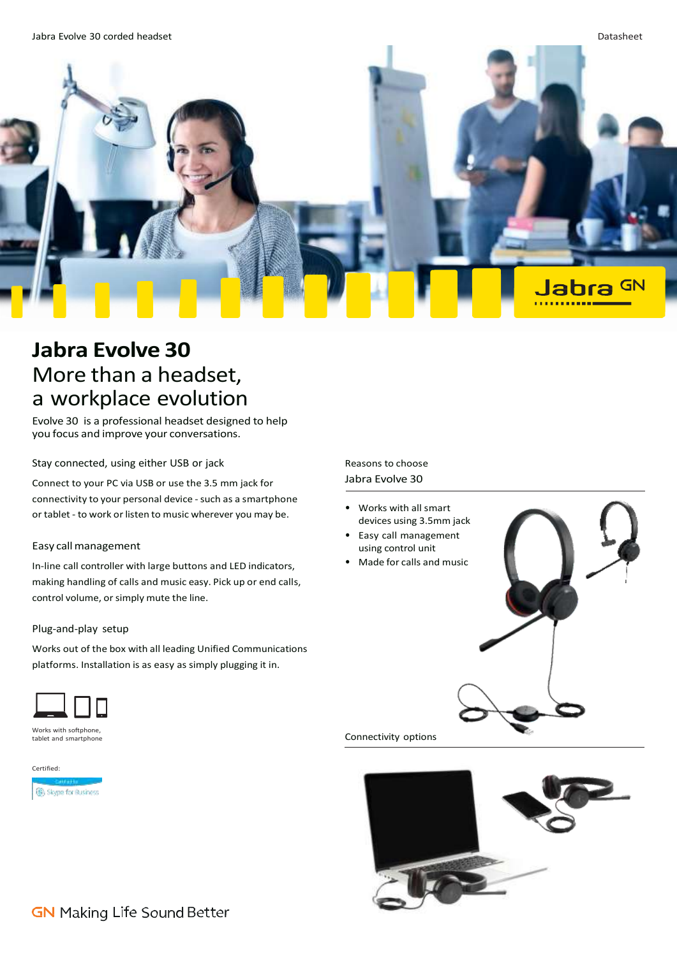

# **Jabra Evolve 30** More than a headset, a workplace evolution

Evolve 30 is a professional headset designed to help you focus and improve your conversations.

Stay connected, using either USB or jack

Connect to your PC via USB or use the 3.5 mm jack for connectivity to your personal device - such as a smartphone or tablet - to work or listen to music wherever you may be.

#### Easy callmanagement

In-line call controller with large buttons and LED indicators, making handling of calls and music easy. Pick up or end calls, control volume, or simply mute the line.

#### Plug-and-play setup

Works out of the box with all leading Unified Communications platforms. Installation is as easy as simply plugging it in.



Works with softphone tablet and smartphone

Certified: Skype for Business Reasons to choose Jabra Evolve 30

- Works with all smart devices using 3.5mm jack
- Easy call management using control unit
- Made for calls and music